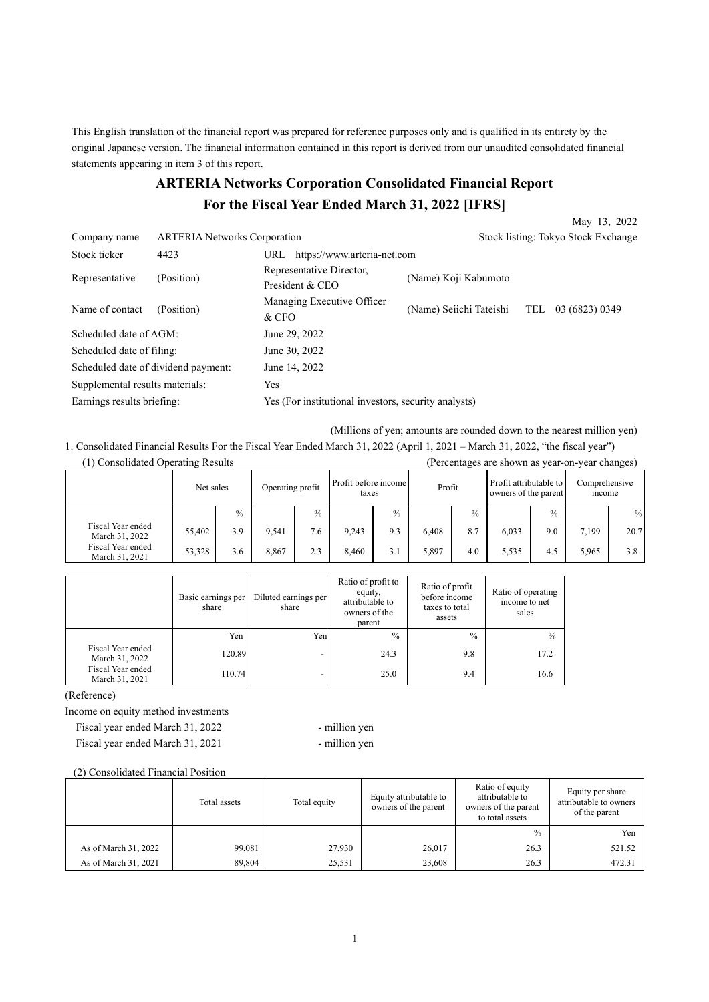This English translation of the financial report was prepared for reference purposes only and is qualified in its entirety by the original Japanese version. The financial information contained in this report is derived from our unaudited consolidated financial statements appearing in item 3 of this report.

# **ARTERIA Networks Corporation Consolidated Financial Report For the Fiscal Year Ended March 31, 2022 [IFRS]**

|                                     |                                     |                                                      |                                     | May 13, 2022          |  |  |
|-------------------------------------|-------------------------------------|------------------------------------------------------|-------------------------------------|-----------------------|--|--|
| Company name                        | <b>ARTERIA</b> Networks Corporation |                                                      | Stock listing: Tokyo Stock Exchange |                       |  |  |
| Stock ticker                        | 4423                                | https://www.arteria-net.com<br>URL                   |                                     |                       |  |  |
| Representative                      | (Position)                          | Representative Director,<br>President & CEO          | (Name) Koji Kabumoto                |                       |  |  |
| Name of contact                     | (Position)                          | Managing Executive Officer<br>& CFO                  | (Name) Seiichi Tateishi             | 03 (6823) 0349<br>TEL |  |  |
| Scheduled date of AGM:              |                                     | June 29, 2022                                        |                                     |                       |  |  |
| Scheduled date of filing:           |                                     | June 30, 2022                                        |                                     |                       |  |  |
| Scheduled date of dividend payment: |                                     | June 14, 2022                                        |                                     |                       |  |  |
| Supplemental results materials:     |                                     | Yes                                                  |                                     |                       |  |  |
| Earnings results briefing:          |                                     | Yes (For institutional investors, security analysts) |                                     |                       |  |  |

(Millions of yen; amounts are rounded down to the nearest million yen)

1. Consolidated Financial Results For the Fiscal Year Ended March 31, 2022 (April 1, 2021 – March 31, 2022, "the fiscal year") (1) Consolidated Operating Results (Percentages are shown as year-on-year changes)

|                                     | Net sales |               | Operating profit |               | Profit before income<br>taxes |               | Profit |               | Profit attributable to<br>owners of the parent |               | Comprehensive<br>income |      |
|-------------------------------------|-----------|---------------|------------------|---------------|-------------------------------|---------------|--------|---------------|------------------------------------------------|---------------|-------------------------|------|
|                                     |           | $\frac{0}{0}$ |                  | $\frac{0}{0}$ |                               | $\frac{0}{0}$ |        | $\frac{0}{0}$ |                                                | $\frac{0}{0}$ |                         | $\%$ |
| Fiscal Year ended<br>March 31, 2022 | 55,402    | 3.9           | 9,541            | 7.6           | 9.243                         | 9.3           | 6.408  | 8.7           | 6,033                                          | 9.0           | 7,199                   | 20.7 |
| Fiscal Year ended<br>March 31, 2021 | 53,328    | 3.6           | 8.867            | 2.3           | 8.460                         | 3.1           | 5,897  | 4.0           | 5,535                                          | 4.5           | 5.965                   | 3.8  |

|                                     | Basic earnings per<br>share | Diluted earnings per<br>share | Ratio of profit to<br>equity,<br>attributable to<br>owners of the<br>parent | Ratio of profit<br>before income<br>taxes to total<br>assets | Ratio of operating<br>income to net<br>sales |
|-------------------------------------|-----------------------------|-------------------------------|-----------------------------------------------------------------------------|--------------------------------------------------------------|----------------------------------------------|
|                                     | Yen                         | Yen.                          | $\frac{0}{0}$                                                               | $\frac{0}{0}$                                                | $\frac{0}{0}$                                |
| Fiscal Year ended<br>March 31, 2022 | 120.89                      | -                             | 24.3                                                                        | 9.8                                                          | 17.2                                         |
| Fiscal Year ended<br>March 31, 2021 | 110.74                      | $\overline{\phantom{a}}$      | 25.0                                                                        | 9.4                                                          | 16.6                                         |

(Reference)

Income on equity method investments

Fiscal year ended March 31, 2022 - million yen Fiscal year ended March 31, 2021 - million yen

(2) Consolidated Financial Position

|                      | Total assets | Total equity | Equity attributable to<br>owners of the parent | Ratio of equity<br>attributable to<br>owners of the parent<br>to total assets | Equity per share<br>attributable to owners<br>of the parent |
|----------------------|--------------|--------------|------------------------------------------------|-------------------------------------------------------------------------------|-------------------------------------------------------------|
|                      |              |              |                                                | $\frac{0}{0}$                                                                 | Yen                                                         |
| As of March 31, 2022 | 99,081       | 27,930       | 26,017                                         | 26.3                                                                          | 521.52                                                      |
| As of March 31, 2021 | 89,804       | 25,531       | 23,608                                         | 26.3                                                                          | 472.31                                                      |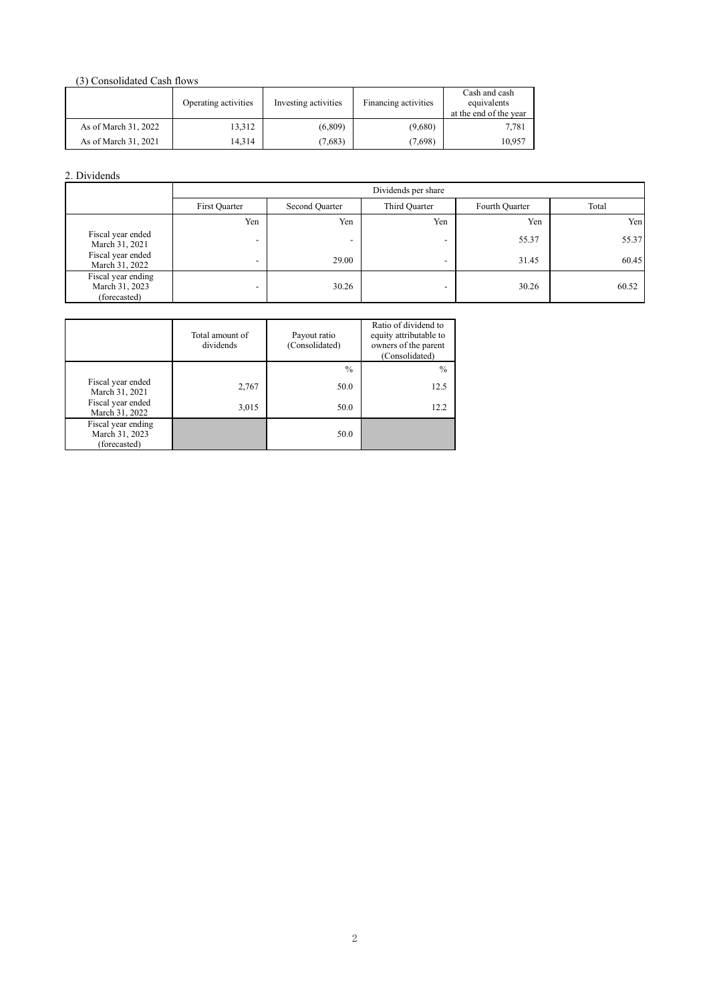## (3) Consolidated Cash flows

|                      | Operating activities | Investing activities | Financing activities | Cash and cash<br>equivalents<br>at the end of the year |
|----------------------|----------------------|----------------------|----------------------|--------------------------------------------------------|
| As of March 31, 2022 | 13,312               | (6,809)              | (9,680)              | 7,781                                                  |
| As of March 31, 2021 | 14.314               | (7,683)              | (7,698)              | 10,957                                                 |

## 2. Dividends

|                                                      | Dividends per share |                |               |                |       |  |  |  |  |  |
|------------------------------------------------------|---------------------|----------------|---------------|----------------|-------|--|--|--|--|--|
|                                                      | First Quarter       | Second Quarter | Third Quarter | Fourth Quarter | Total |  |  |  |  |  |
|                                                      | Yen                 | Yen            | Yen           | Yen            | Yen   |  |  |  |  |  |
| Fiscal year ended<br>March 31, 2021                  |                     | -              |               | 55.37          | 55.37 |  |  |  |  |  |
| Fiscal year ended<br>March 31, 2022                  | -                   | 29.00          | -             | 31.45          | 60.45 |  |  |  |  |  |
| Fiscal year ending<br>March 31, 2023<br>(forecasted) | -                   | 30.26          | -             | 30.26          | 60.52 |  |  |  |  |  |

|                                                      | Total amount of<br>dividends | Payout ratio<br>(Consolidated) | Ratio of dividend to<br>equity attributable to<br>owners of the parent<br>(Consolidated) |
|------------------------------------------------------|------------------------------|--------------------------------|------------------------------------------------------------------------------------------|
|                                                      |                              | $\frac{0}{0}$                  | $\%$                                                                                     |
| Fiscal year ended<br>March 31, 2021                  | 2,767                        | 50.0                           | 12.5                                                                                     |
| Fiscal year ended<br>March 31, 2022                  | 3,015                        | 50.0                           | 12.2                                                                                     |
| Fiscal year ending<br>March 31, 2023<br>(forecasted) |                              | 50.0                           |                                                                                          |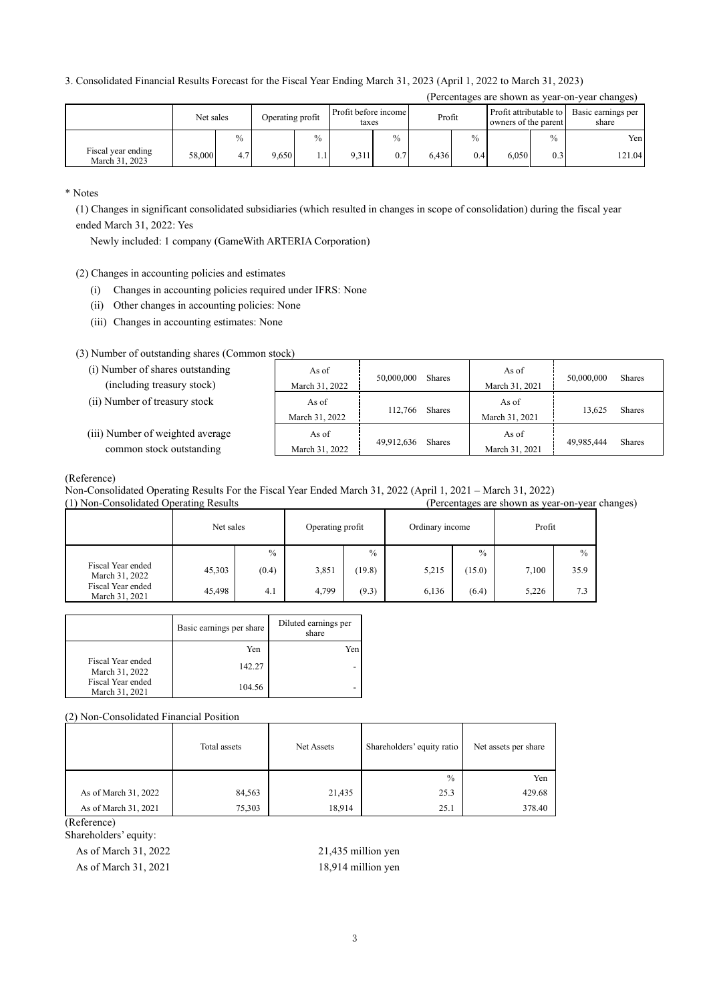#### 3. Consolidated Financial Results Forecast for the Fiscal Year Ending March 31, 2023 (April 1, 2022 to March 31, 2023)

|                                      |           |               |                  |               |                               |               |        |               |                                                |               | (Percentages are shown as year-on-year changes) |
|--------------------------------------|-----------|---------------|------------------|---------------|-------------------------------|---------------|--------|---------------|------------------------------------------------|---------------|-------------------------------------------------|
|                                      | Net sales |               | Operating profit |               | Profit before income<br>taxes |               | Profit |               | Profit attributable to<br>owners of the parent |               | Basic earnings per<br>share                     |
|                                      |           | $\frac{0}{0}$ |                  | $\frac{0}{0}$ |                               | $\frac{0}{0}$ |        | $\frac{0}{0}$ |                                                | $\frac{0}{0}$ | Yen                                             |
| Fiscal year ending<br>March 31, 2023 | 58,000    | 4.7'          | 9.650            | 1.1           | 9.311                         | 0.7           | 6.436  | 0.4           | 6.050                                          | 0.3           | 121.04                                          |

\* Notes

(1) Changes in significant consolidated subsidiaries (which resulted in changes in scope of consolidation) during the fiscal year ended March 31, 2022: Yes

Newly included: 1 company (GameWith ARTERIA Corporation)

- (2) Changes in accounting policies and estimates
	- (i) Changes in accounting policies required under IFRS: None
	- (ii) Other changes in accounting policies: None
	- (iii) Changes in accounting estimates: None

#### (3) Number of outstanding shares (Common stock)

| (i) Number of shares outstanding<br>(including treasury stock) | As of<br>March 31, 2022 | 50,000,000 | <b>Shares</b> | As of<br>March 31, 2021 | 50,000,000 | <b>Shares</b> |
|----------------------------------------------------------------|-------------------------|------------|---------------|-------------------------|------------|---------------|
| (ii) Number of treasury stock                                  | As of<br>March 31, 2022 | 112,766    | <b>Shares</b> | As of<br>March 31, 2021 | 13.625     | Shares        |
| (iii) Number of weighted average<br>common stock outstanding   | As of<br>March 31, 2022 | 49.912.636 | <b>Shares</b> | As of<br>March 31, 2021 | 49.985.444 | <b>Shares</b> |

(Reference)

Non-Consolidated Operating Results For the Fiscal Year Ended March 31, 2022 (April 1, 2021 – March 31, 2022)

(1) Non-Consolidated Operating Results (Percentages are shown as year-on-year changes)

|                                     | Net sales |               | Operating profit |               | Ordinary income |        | Profit |               |
|-------------------------------------|-----------|---------------|------------------|---------------|-----------------|--------|--------|---------------|
|                                     |           | $\frac{0}{0}$ |                  | $\frac{0}{0}$ |                 | $\%$   |        | $\frac{0}{0}$ |
| Fiscal Year ended<br>March 31, 2022 | 45,303    | (0.4)         | 3,851            | (19.8)        | 5,215           | (15.0) | 7,100  | 35.9          |
| Fiscal Year ended<br>March 31, 2021 | 45,498    | 4.1           | 4,799            | (9.3)         | 6,136           | (6.4)  | 5,226  | 7.3           |

|                                     | Basic earnings per share | Diluted earnings per<br>share |
|-------------------------------------|--------------------------|-------------------------------|
|                                     | Yen                      | Yen                           |
| Fiscal Year ended<br>March 31, 2022 | 142.27                   |                               |
| Fiscal Year ended<br>March 31, 2021 | 104.56                   |                               |

#### (2) Non-Consolidated Financial Position

|                      | Total assets | Net Assets | Shareholders' equity ratio | Net assets per share |  |
|----------------------|--------------|------------|----------------------------|----------------------|--|
|                      |              |            | $\frac{0}{0}$              | Yen                  |  |
| As of March 31, 2022 | 84,563       | 21,435     | 25.3                       | 429.68               |  |
| As of March 31, 2021 | 75,303       | 18,914     | 25.1                       | 378.40               |  |

(Reference)

Shareholders' equity:

As of March 31, 2022 21,435 million yen As of March 31, 2021 18,914 million yen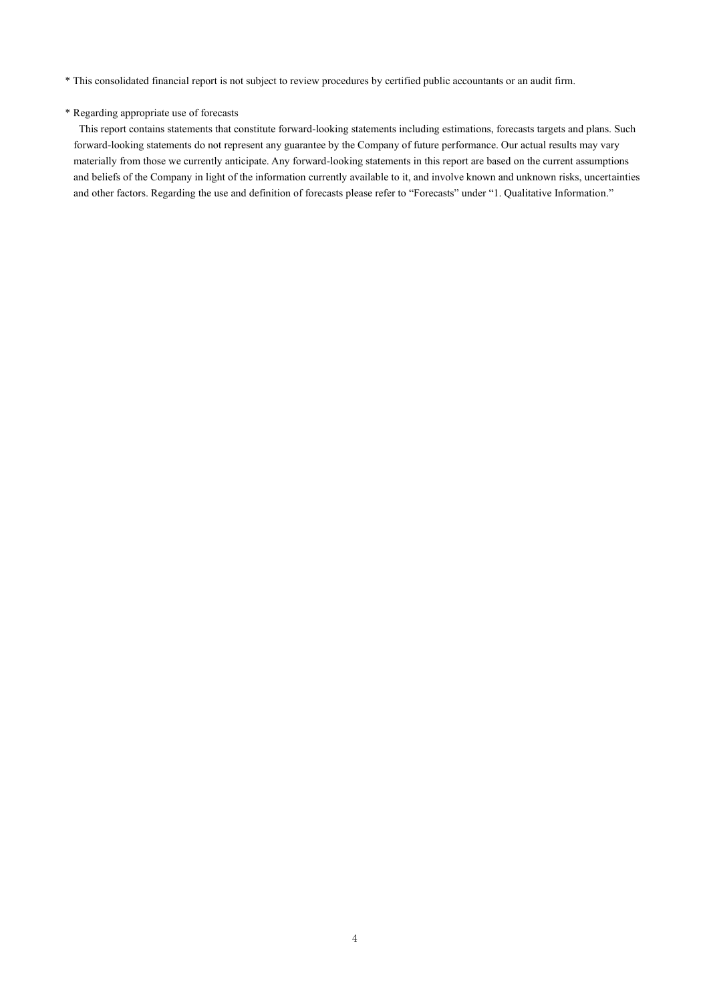\* This consolidated financial report is not subject to review procedures by certified public accountants or an audit firm.

### \* Regarding appropriate use of forecasts

This report contains statements that constitute forward-looking statements including estimations, forecasts targets and plans. Such forward-looking statements do not represent any guarantee by the Company of future performance. Our actual results may vary materially from those we currently anticipate. Any forward-looking statements in this report are based on the current assumptions and beliefs of the Company in light of the information currently available to it, and involve known and unknown risks, uncertainties and other factors. Regarding the use and definition of forecasts please refer to "Forecasts" under "1. Qualitative Information."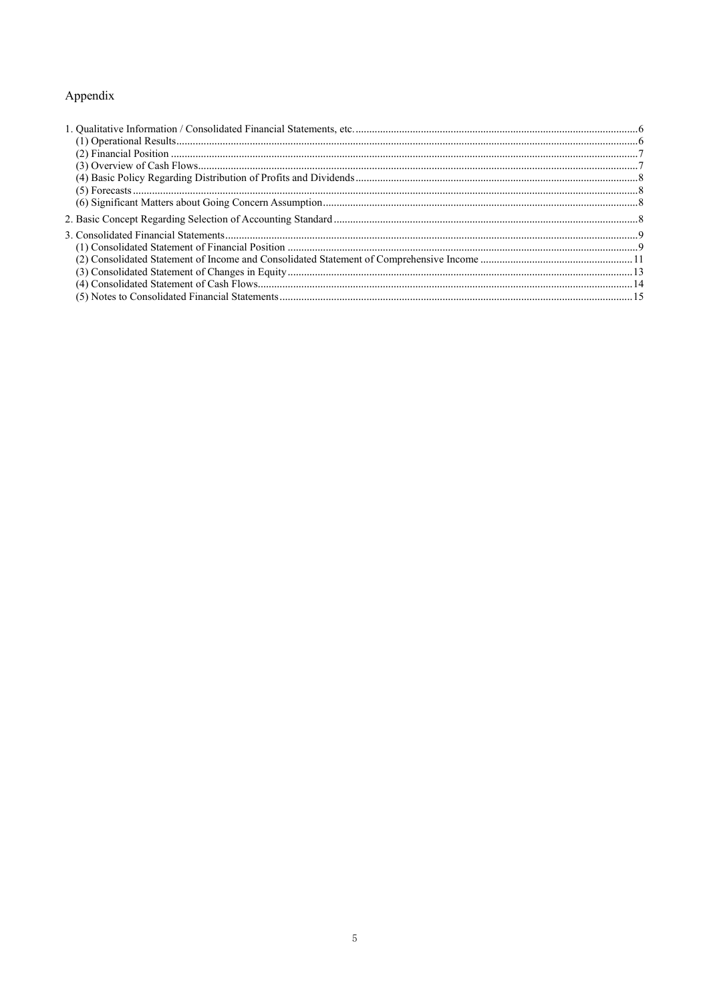## Appendix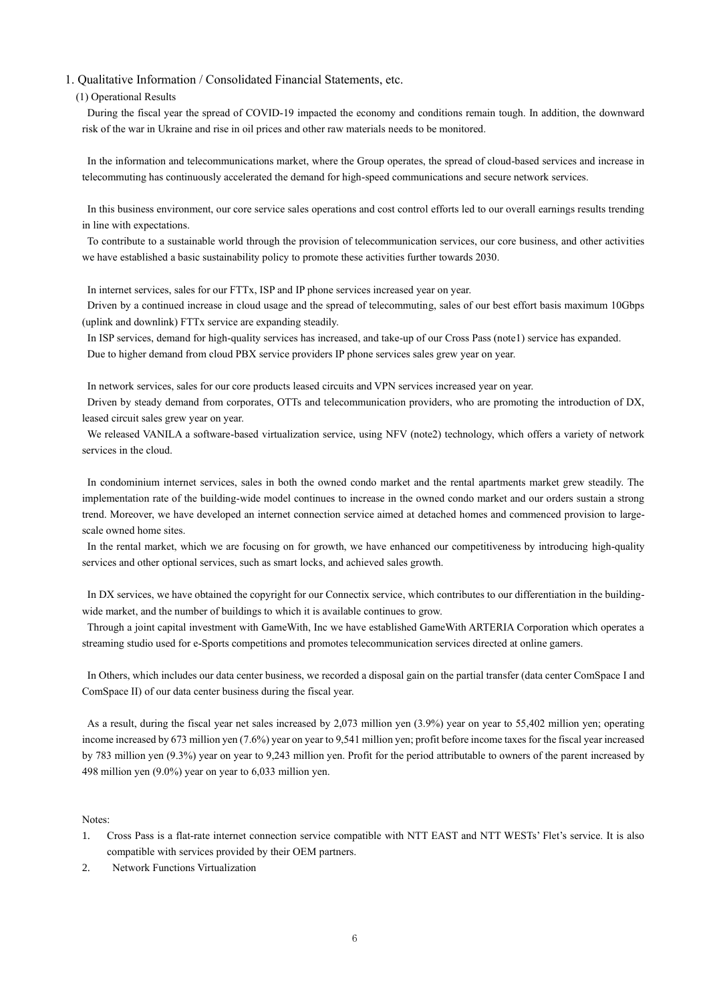#### 1. Qualitative Information / Consolidated Financial Statements, etc.

#### (1) Operational Results

During the fiscal year the spread of COVID-19 impacted the economy and conditions remain tough. In addition, the downward risk of the war in Ukraine and rise in oil prices and other raw materials needs to be monitored.

In the information and telecommunications market, where the Group operates, the spread of cloud-based services and increase in telecommuting has continuously accelerated the demand for high-speed communications and secure network services.

In this business environment, our core service sales operations and cost control efforts led to our overall earnings results trending in line with expectations.

To contribute to a sustainable world through the provision of telecommunication services, our core business, and other activities we have established a basic sustainability policy to promote these activities further towards 2030.

In internet services, sales for our FTTx, ISP and IP phone services increased year on year.

Driven by a continued increase in cloud usage and the spread of telecommuting, sales of our best effort basis maximum 10Gbps (uplink and downlink) FTTx service are expanding steadily.

In ISP services, demand for high-quality services has increased, and take-up of our Cross Pass (note1) service has expanded. Due to higher demand from cloud PBX service providers IP phone services sales grew year on year.

In network services, sales for our core products leased circuits and VPN services increased year on year.

Driven by steady demand from corporates, OTTs and telecommunication providers, who are promoting the introduction of DX, leased circuit sales grew year on year.

We released VANILA a software-based virtualization service, using NFV (note2) technology, which offers a variety of network services in the cloud.

In condominium internet services, sales in both the owned condo market and the rental apartments market grew steadily. The implementation rate of the building-wide model continues to increase in the owned condo market and our orders sustain a strong trend. Moreover, we have developed an internet connection service aimed at detached homes and commenced provision to largescale owned home sites.

In the rental market, which we are focusing on for growth, we have enhanced our competitiveness by introducing high-quality services and other optional services, such as smart locks, and achieved sales growth.

In DX services, we have obtained the copyright for our Connectix service, which contributes to our differentiation in the buildingwide market, and the number of buildings to which it is available continues to grow.

Through a joint capital investment with GameWith, Inc we have established GameWith ARTERIA Corporation which operates a streaming studio used for e-Sports competitions and promotes telecommunication services directed at online gamers.

In Others, which includes our data center business, we recorded a disposal gain on the partial transfer (data center ComSpace I and ComSpace II) of our data center business during the fiscal year.

As a result, during the fiscal year net sales increased by 2,073 million yen (3.9%) year on year to 55,402 million yen; operating income increased by 673 million yen (7.6%) year on year to 9,541 million yen; profit before income taxes for the fiscal year increased by 783 million yen (9.3%) year on year to 9,243 million yen. Profit for the period attributable to owners of the parent increased by 498 million yen (9.0%) year on year to 6,033 million yen.

#### Notes:

- 1. Cross Pass is a flat-rate internet connection service compatible with NTT EAST and NTT WESTs' Flet's service. It is also compatible with services provided by their OEM partners.
- 2. Network Functions Virtualization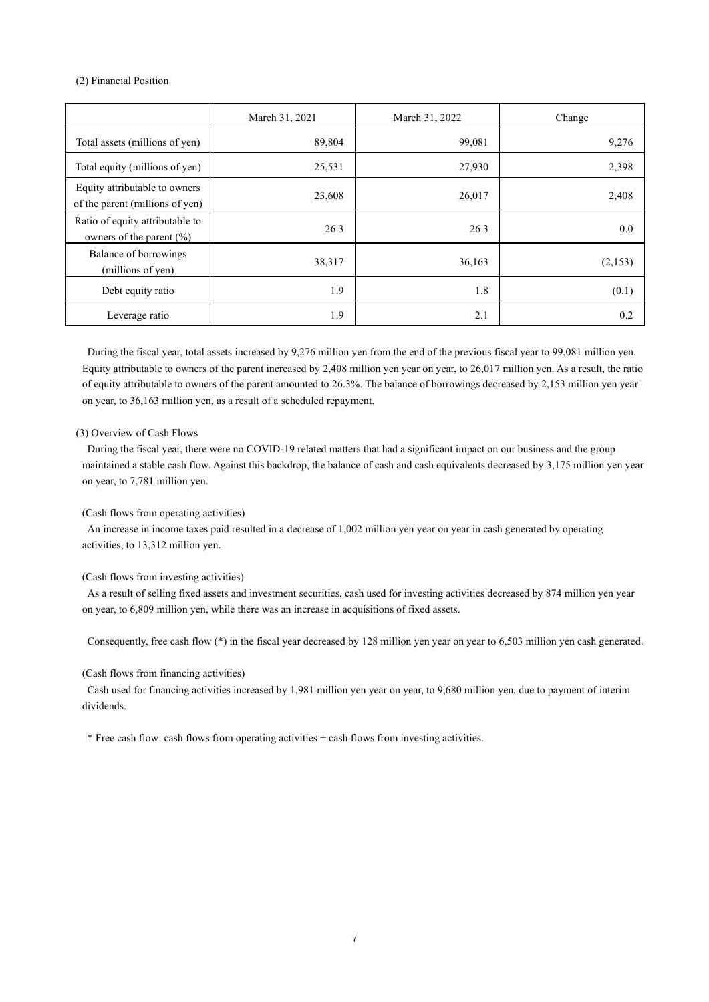(2) Financial Position

|                                                                  | March 31, 2021 | March 31, 2022 | Change  |
|------------------------------------------------------------------|----------------|----------------|---------|
| Total assets (millions of yen)                                   | 89,804         | 99,081         | 9,276   |
| Total equity (millions of yen)                                   | 25,531         | 27,930         | 2,398   |
| Equity attributable to owners<br>of the parent (millions of yen) | 23,608         | 26,017         | 2,408   |
| Ratio of equity attributable to<br>owners of the parent $(\% )$  | 26.3           | 26.3           | 0.0     |
| Balance of borrowings<br>(millions of yen)                       | 38,317         | 36,163         | (2,153) |
| Debt equity ratio                                                | 1.9            | 1.8            | (0.1)   |
| Leverage ratio                                                   | 1.9            | 2.1            | 0.2     |

During the fiscal year, total assets increased by 9,276 million yen from the end of the previous fiscal year to 99,081 million yen. Equity attributable to owners of the parent increased by 2,408 million yen year on year, to 26,017 million yen. As a result, the ratio of equity attributable to owners of the parent amounted to 26.3%. The balance of borrowings decreased by 2,153 million yen year on year, to 36,163 million yen, as a result of a scheduled repayment.

#### (3) Overview of Cash Flows

During the fiscal year, there were no COVID-19 related matters that had a significant impact on our business and the group maintained a stable cash flow. Against this backdrop, the balance of cash and cash equivalents decreased by 3,175 million yen year on year, to 7,781 million yen.

#### (Cash flows from operating activities)

An increase in income taxes paid resulted in a decrease of 1,002 million yen year on year in cash generated by operating activities, to 13,312 million yen.

#### (Cash flows from investing activities)

As a result of selling fixed assets and investment securities, cash used for investing activities decreased by 874 million yen year on year, to 6,809 million yen, while there was an increase in acquisitions of fixed assets.

Consequently, free cash flow (\*) in the fiscal year decreased by 128 million yen year on year to 6,503 million yen cash generated.

#### (Cash flows from financing activities)

Cash used for financing activities increased by 1,981 million yen year on year, to 9,680 million yen, due to payment of interim dividends.

\* Free cash flow: cash flows from operating activities + cash flows from investing activities.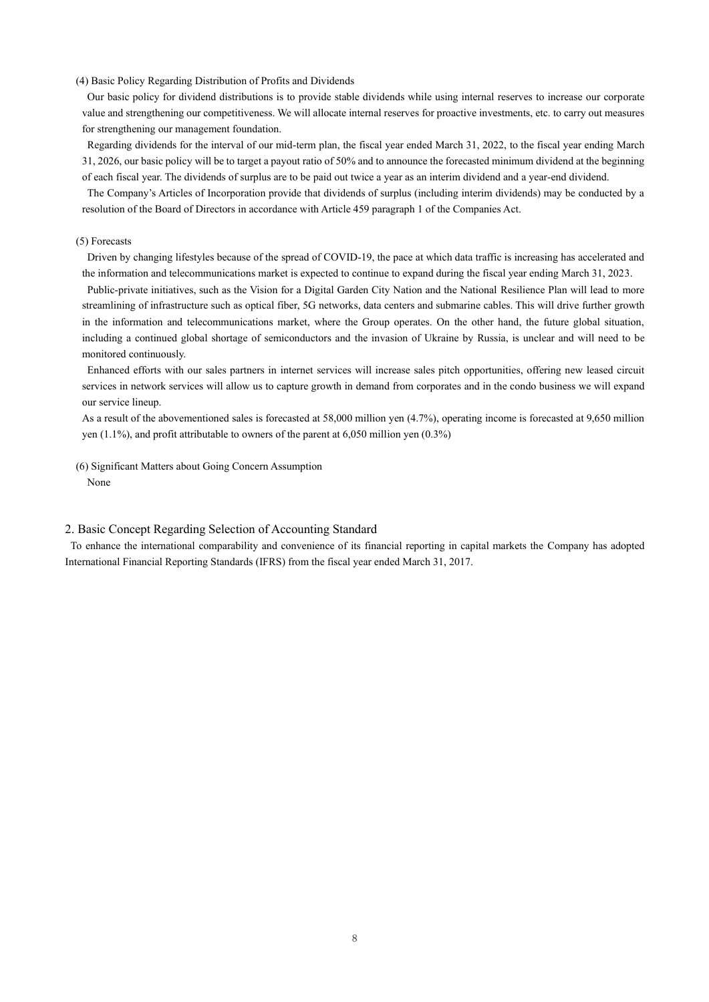#### (4) Basic Policy Regarding Distribution of Profits and Dividends

Our basic policy for dividend distributions is to provide stable dividends while using internal reserves to increase our corporate value and strengthening our competitiveness. We will allocate internal reserves for proactive investments, etc. to carry out measures for strengthening our management foundation.

Regarding dividends for the interval of our mid-term plan, the fiscal year ended March 31, 2022, to the fiscal year ending March 31, 2026, our basic policy will be to target a payout ratio of 50% and to announce the forecasted minimum dividend at the beginning of each fiscal year. The dividends of surplus are to be paid out twice a year as an interim dividend and a year-end dividend.

The Company's Articles of Incorporation provide that dividends of surplus (including interim dividends) may be conducted by a resolution of the Board of Directors in accordance with Article 459 paragraph 1 of the Companies Act.

#### (5) Forecasts

Driven by changing lifestyles because of the spread of COVID-19, the pace at which data traffic is increasing has accelerated and the information and telecommunications market is expected to continue to expand during the fiscal year ending March 31, 2023.

Public-private initiatives, such as the Vision for a Digital Garden City Nation and the National Resilience Plan will lead to more streamlining of infrastructure such as optical fiber, 5G networks, data centers and submarine cables. This will drive further growth in the information and telecommunications market, where the Group operates. On the other hand, the future global situation, including a continued global shortage of semiconductors and the invasion of Ukraine by Russia, is unclear and will need to be monitored continuously.

Enhanced efforts with our sales partners in internet services will increase sales pitch opportunities, offering new leased circuit services in network services will allow us to capture growth in demand from corporates and in the condo business we will expand our service lineup.

As a result of the abovementioned sales is forecasted at 58,000 million yen (4.7%), operating income is forecasted at 9,650 million yen (1.1%), and profit attributable to owners of the parent at 6,050 million yen (0.3%)

(6) Significant Matters about Going Concern Assumption None

#### 2. Basic Concept Regarding Selection of Accounting Standard

To enhance the international comparability and convenience of its financial reporting in capital markets the Company has adopted International Financial Reporting Standards (IFRS) from the fiscal year ended March 31, 2017.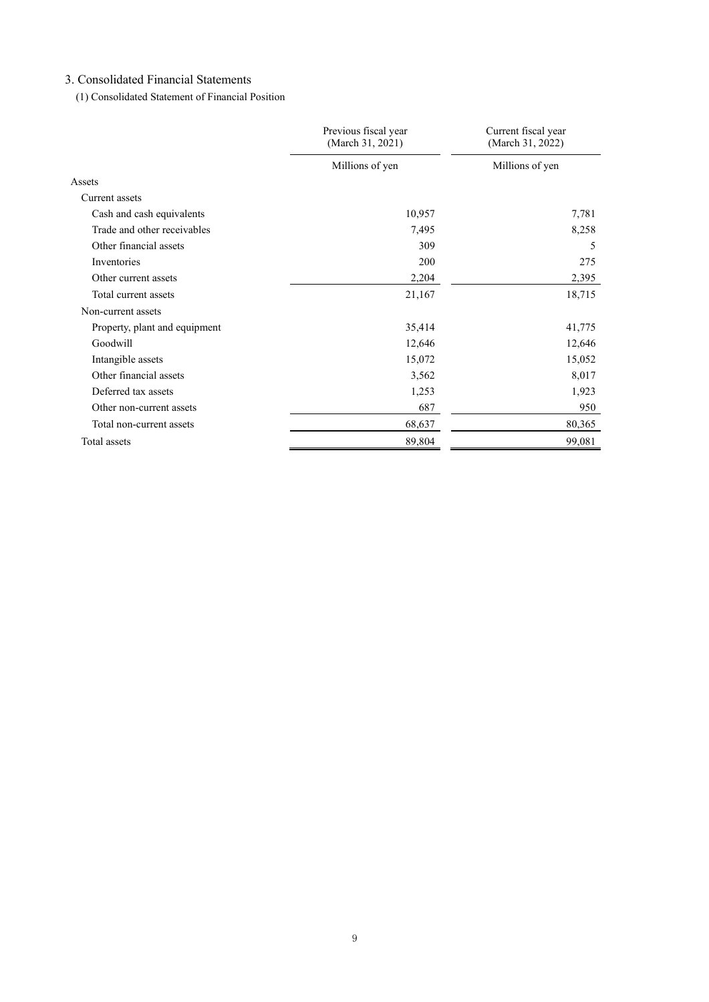## 3. Consolidated Financial Statements

(1) Consolidated Statement of Financial Position

|                               | Previous fiscal year<br>(March 31, 2021) | Current fiscal year<br>(March 31, 2022) |  |
|-------------------------------|------------------------------------------|-----------------------------------------|--|
|                               | Millions of yen                          | Millions of yen                         |  |
| Assets                        |                                          |                                         |  |
| Current assets                |                                          |                                         |  |
| Cash and cash equivalents     | 10,957                                   | 7,781                                   |  |
| Trade and other receivables   | 7,495                                    | 8,258                                   |  |
| Other financial assets        | 309                                      | 5                                       |  |
| Inventories                   | 200                                      | 275                                     |  |
| Other current assets          | 2,204                                    | 2,395                                   |  |
| Total current assets          | 21,167                                   | 18,715                                  |  |
| Non-current assets            |                                          |                                         |  |
| Property, plant and equipment | 35,414                                   | 41,775                                  |  |
| Goodwill                      | 12,646                                   | 12,646                                  |  |
| Intangible assets             | 15,072                                   | 15,052                                  |  |
| Other financial assets        | 3,562                                    | 8,017                                   |  |
| Deferred tax assets           | 1,253                                    | 1,923                                   |  |
| Other non-current assets      | 687                                      | 950                                     |  |
| Total non-current assets      | 68,637                                   | 80,365                                  |  |
| Total assets                  | 89,804                                   | 99,081                                  |  |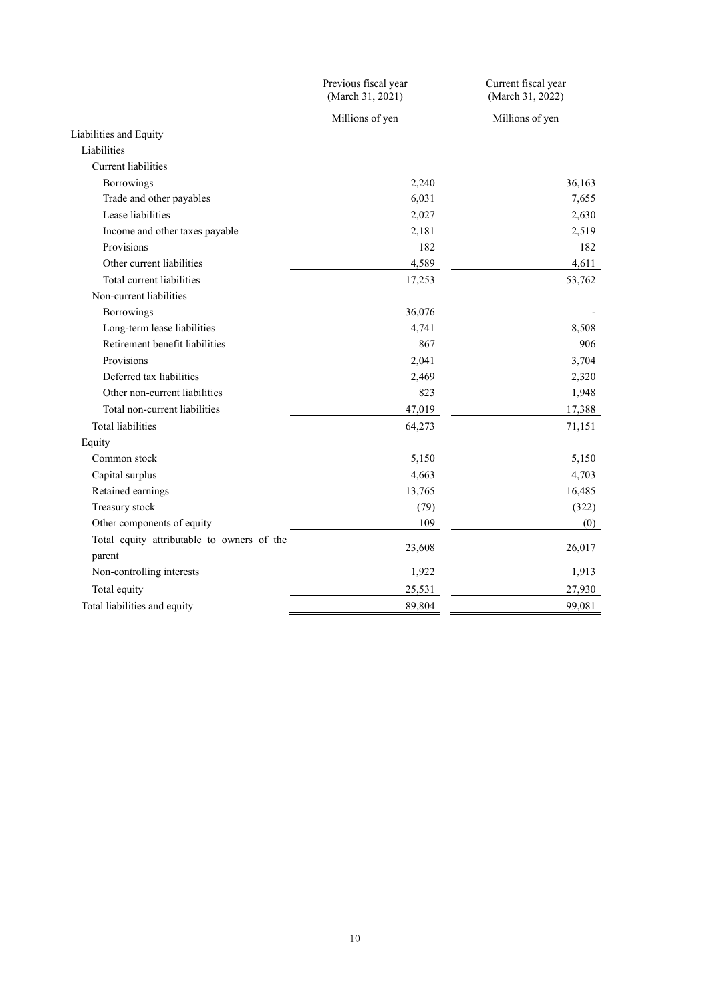|                                                      | Previous fiscal year<br>(March 31, 2021) | Current fiscal year<br>(March 31, 2022) |
|------------------------------------------------------|------------------------------------------|-----------------------------------------|
|                                                      | Millions of yen                          | Millions of yen                         |
| Liabilities and Equity                               |                                          |                                         |
| Liabilities                                          |                                          |                                         |
| Current liabilities                                  |                                          |                                         |
| Borrowings                                           | 2,240                                    | 36,163                                  |
| Trade and other payables                             | 6,031                                    | 7,655                                   |
| Lease liabilities                                    | 2,027                                    | 2,630                                   |
| Income and other taxes payable                       | 2,181                                    | 2,519                                   |
| Provisions                                           | 182                                      | 182                                     |
| Other current liabilities                            | 4,589                                    | 4,611                                   |
| Total current liabilities                            | 17,253                                   | 53,762                                  |
| Non-current liabilities                              |                                          |                                         |
| Borrowings                                           | 36,076                                   |                                         |
| Long-term lease liabilities                          | 4,741                                    | 8,508                                   |
| Retirement benefit liabilities                       | 867                                      | 906                                     |
| Provisions                                           | 2,041                                    | 3,704                                   |
| Deferred tax liabilities                             | 2,469                                    | 2,320                                   |
| Other non-current liabilities                        | 823                                      | 1,948                                   |
| Total non-current liabilities                        | 47,019                                   | 17,388                                  |
| <b>Total liabilities</b>                             | 64,273                                   | 71,151                                  |
| Equity                                               |                                          |                                         |
| Common stock                                         | 5,150                                    | 5,150                                   |
| Capital surplus                                      | 4,663                                    | 4,703                                   |
| Retained earnings                                    | 13,765                                   | 16,485                                  |
| Treasury stock                                       | (79)                                     | (322)                                   |
| Other components of equity                           | 109                                      | (0)                                     |
| Total equity attributable to owners of the<br>parent | 23,608                                   | 26,017                                  |
| Non-controlling interests                            | 1,922                                    | 1,913                                   |
| Total equity                                         | 25,531                                   | 27,930                                  |
| Total liabilities and equity                         | 89,804                                   | 99,081                                  |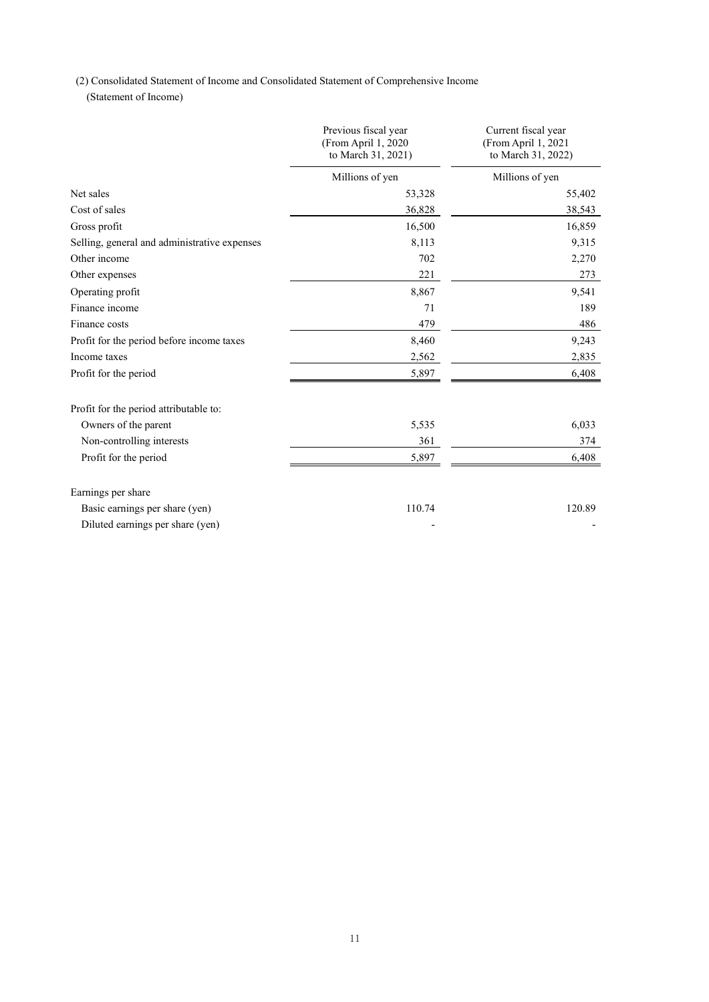(2) Consolidated Statement of Income and Consolidated Statement of Comprehensive Income

(Statement of Income)

|                                              | Previous fiscal year<br>(From April 1, 2020<br>to March 31, 2021) | Current fiscal year<br>(From April 1, 2021<br>to March 31, 2022) |
|----------------------------------------------|-------------------------------------------------------------------|------------------------------------------------------------------|
|                                              | Millions of yen                                                   | Millions of yen                                                  |
| Net sales                                    | 53,328                                                            | 55,402                                                           |
| Cost of sales                                | 36,828                                                            | 38,543                                                           |
| Gross profit                                 | 16,500                                                            | 16,859                                                           |
| Selling, general and administrative expenses | 8,113                                                             | 9,315                                                            |
| Other income                                 | 702                                                               | 2,270                                                            |
| Other expenses                               | 221                                                               | 273                                                              |
| Operating profit                             | 8,867                                                             | 9,541                                                            |
| Finance income                               | 71                                                                | 189                                                              |
| Finance costs                                | 479                                                               | 486                                                              |
| Profit for the period before income taxes    | 8,460                                                             | 9,243                                                            |
| Income taxes                                 | 2,562                                                             | 2,835                                                            |
| Profit for the period                        | 5,897                                                             | 6,408                                                            |
| Profit for the period attributable to:       |                                                                   |                                                                  |
| Owners of the parent                         | 5,535                                                             | 6,033                                                            |
| Non-controlling interests                    | 361                                                               | 374                                                              |
| Profit for the period                        | 5,897                                                             | 6,408                                                            |
| Earnings per share                           |                                                                   |                                                                  |
| Basic earnings per share (yen)               | 110.74                                                            | 120.89                                                           |
| Diluted earnings per share (yen)             |                                                                   |                                                                  |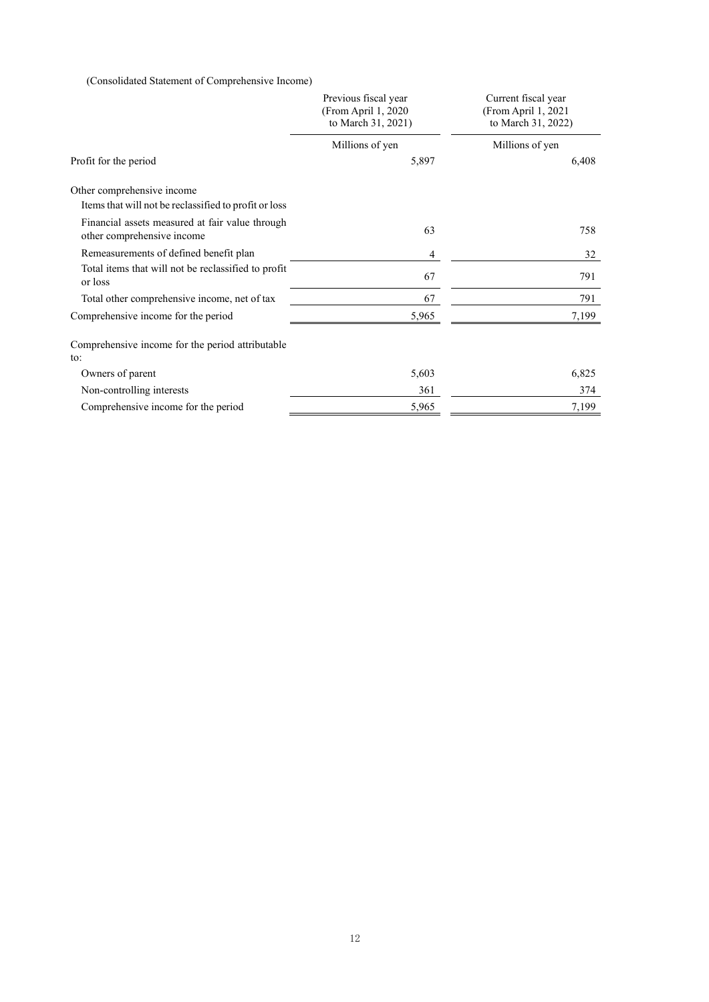(Consolidated Statement of Comprehensive Income)

|                                                                               | Previous fiscal year<br>(From April 1, 2020<br>to March 31, 2021) | Current fiscal year<br>(From April 1, 2021<br>to March 31, 2022) |
|-------------------------------------------------------------------------------|-------------------------------------------------------------------|------------------------------------------------------------------|
|                                                                               | Millions of yen                                                   | Millions of yen                                                  |
| Profit for the period                                                         | 5,897                                                             | 6,408                                                            |
| Other comprehensive income                                                    |                                                                   |                                                                  |
| Items that will not be reclassified to profit or loss                         |                                                                   |                                                                  |
| Financial assets measured at fair value through<br>other comprehensive income | 63                                                                | 758                                                              |
| Remeasurements of defined benefit plan                                        | 4                                                                 | 32                                                               |
| Total items that will not be reclassified to profit<br>or loss                | 67                                                                | 791                                                              |
| Total other comprehensive income, net of tax                                  | 67                                                                | 791                                                              |
| Comprehensive income for the period                                           | 5,965                                                             | 7,199                                                            |
| Comprehensive income for the period attributable<br>to:                       |                                                                   |                                                                  |
| Owners of parent                                                              | 5,603                                                             | 6,825                                                            |
| Non-controlling interests                                                     | 361                                                               | 374                                                              |
| Comprehensive income for the period                                           | 5,965                                                             | 7,199                                                            |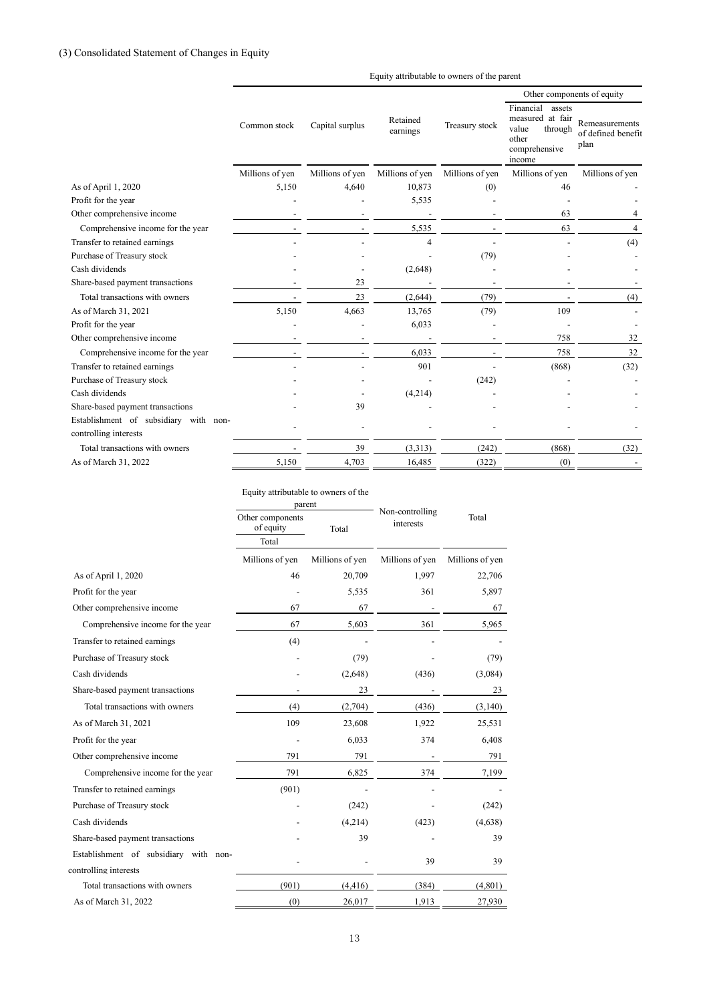#### Equity attributable to owners of the parent

|                                                                | Common stock    |                 |                      |                 | Other components of equity                                                                      |                                              |
|----------------------------------------------------------------|-----------------|-----------------|----------------------|-----------------|-------------------------------------------------------------------------------------------------|----------------------------------------------|
|                                                                |                 | Capital surplus | Retained<br>earnings | Treasury stock  | Financial<br>assets<br>measured at fair<br>value<br>through<br>other<br>comprehensive<br>income | Remeasurements<br>of defined benefit<br>plan |
|                                                                | Millions of yen | Millions of yen | Millions of yen      | Millions of yen | Millions of yen                                                                                 | Millions of yen                              |
| As of April 1, 2020                                            | 5,150           | 4,640           | 10,873               | (0)             | 46                                                                                              |                                              |
| Profit for the year                                            |                 |                 | 5,535                |                 |                                                                                                 |                                              |
| Other comprehensive income                                     |                 |                 |                      |                 | 63                                                                                              |                                              |
| Comprehensive income for the year                              |                 |                 | 5,535                |                 | 63                                                                                              | 4                                            |
| Transfer to retained earnings                                  |                 |                 | $\overline{4}$       |                 |                                                                                                 | (4)                                          |
| Purchase of Treasury stock                                     |                 |                 |                      | (79)            |                                                                                                 |                                              |
| Cash dividends                                                 |                 |                 | (2,648)              |                 |                                                                                                 |                                              |
| Share-based payment transactions                               |                 | 23              |                      |                 |                                                                                                 |                                              |
| Total transactions with owners                                 |                 | 23              | (2,644)              | (79)            |                                                                                                 | (4)                                          |
| As of March 31, 2021                                           | 5,150           | 4,663           | 13,765               | (79)            | 109                                                                                             |                                              |
| Profit for the year                                            |                 |                 | 6,033                |                 |                                                                                                 |                                              |
| Other comprehensive income                                     |                 |                 |                      |                 | 758                                                                                             | 32                                           |
| Comprehensive income for the year                              |                 |                 | 6,033                |                 | 758                                                                                             | 32                                           |
| Transfer to retained earnings                                  |                 |                 | 901                  |                 | (868)                                                                                           | (32)                                         |
| Purchase of Treasury stock                                     |                 |                 |                      | (242)           |                                                                                                 |                                              |
| Cash dividends                                                 |                 |                 | (4,214)              |                 |                                                                                                 |                                              |
| Share-based payment transactions                               |                 | 39              |                      |                 |                                                                                                 |                                              |
| Establishment of subsidiary with non-<br>controlling interests |                 |                 |                      |                 |                                                                                                 |                                              |
| Total transactions with owners                                 |                 | 39              | (3,313)              | (242)           | (868)                                                                                           | (32)                                         |
| As of March 31, 2022                                           | 5,150           | 4,703           | 16,485               | (322)           | (0)                                                                                             |                                              |

|                                       | Equity attributable to owners of the |                 |                 |                 |  |
|---------------------------------------|--------------------------------------|-----------------|-----------------|-----------------|--|
|                                       | parent                               |                 | Non-controlling |                 |  |
|                                       | Other components<br>of equity        | Total           | interests       | Total           |  |
|                                       | Total                                |                 |                 |                 |  |
|                                       | Millions of yen                      | Millions of yen | Millions of yen | Millions of yen |  |
| As of April 1, 2020                   | 46                                   | 20,709          | 1,997           | 22,706          |  |
| Profit for the year                   |                                      | 5,535           | 361             | 5,897           |  |
| Other comprehensive income            | 67                                   | 67              |                 | 67              |  |
| Comprehensive income for the year     | 67                                   | 5,603           | 361             | 5,965           |  |
| Transfer to retained earnings         | (4)                                  |                 |                 |                 |  |
| Purchase of Treasury stock            |                                      | (79)            |                 | (79)            |  |
| Cash dividends                        |                                      | (2,648)         | (436)           | (3,084)         |  |
| Share-based payment transactions      |                                      | 23              |                 | 23              |  |
| Total transactions with owners        | (4)                                  | (2,704)         | (436)           | (3,140)         |  |
| As of March 31, 2021                  | 109                                  | 23,608          | 1,922           | 25,531          |  |
| Profit for the year                   |                                      | 6,033           | 374             | 6,408           |  |
| Other comprehensive income            | 791                                  | 791             |                 | 791             |  |
| Comprehensive income for the year     | 791                                  | 6,825           | 374             | 7,199           |  |
| Transfer to retained earnings         | (901)                                |                 |                 |                 |  |
| Purchase of Treasury stock            |                                      | (242)           |                 | (242)           |  |
| Cash dividends                        |                                      | (4,214)         | (423)           | (4,638)         |  |
| Share-based payment transactions      |                                      | 39              |                 | 39              |  |
| Establishment of subsidiary with non- |                                      |                 | 39              | 39              |  |
| controlling interests                 |                                      |                 |                 |                 |  |
| Total transactions with owners        | (901)                                | (4, 416)        | (384)           | (4,801)         |  |
| As of March 31, 2022                  | (0)                                  | 26,017          | 1,913           | 27,930          |  |

### 13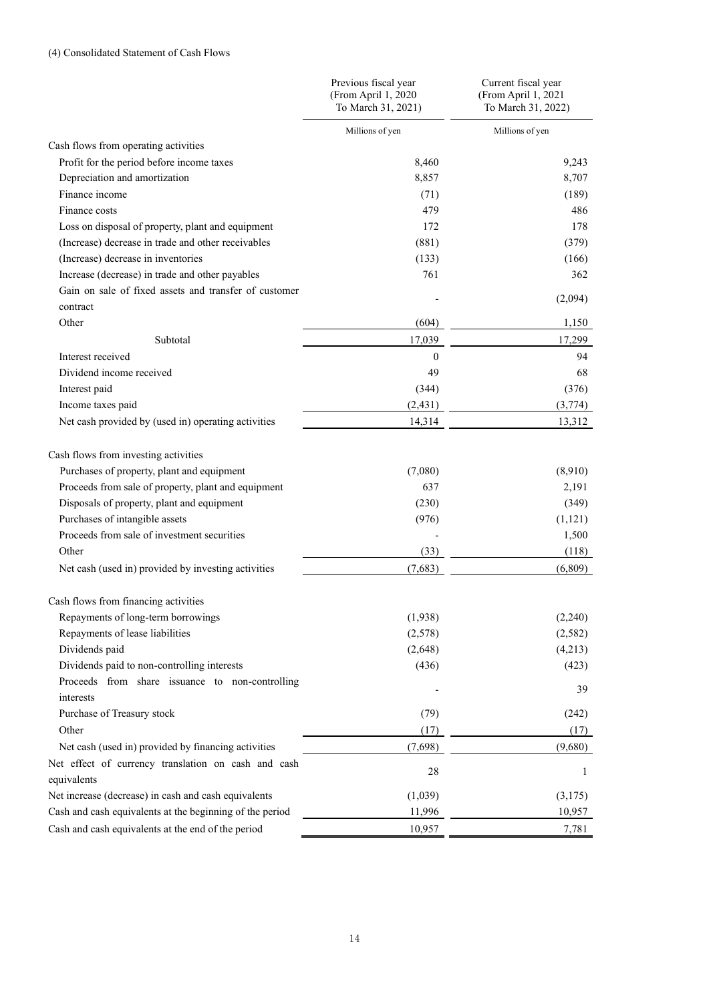|                                                              | Previous fiscal year<br>(From April 1, 2020<br>To March 31, 2021) | Current fiscal year<br>(From April 1, 2021<br>To March 31, 2022) |
|--------------------------------------------------------------|-------------------------------------------------------------------|------------------------------------------------------------------|
|                                                              | Millions of yen                                                   | Millions of yen                                                  |
| Cash flows from operating activities                         |                                                                   |                                                                  |
| Profit for the period before income taxes                    | 8,460                                                             | 9,243                                                            |
| Depreciation and amortization                                | 8,857                                                             | 8,707                                                            |
| Finance income                                               | (71)                                                              | (189)                                                            |
| Finance costs                                                | 479                                                               | 486                                                              |
| Loss on disposal of property, plant and equipment            | 172                                                               | 178                                                              |
| (Increase) decrease in trade and other receivables           | (881)                                                             | (379)                                                            |
| (Increase) decrease in inventories                           | (133)                                                             | (166)                                                            |
| Increase (decrease) in trade and other payables              | 761                                                               | 362                                                              |
| Gain on sale of fixed assets and transfer of customer        |                                                                   |                                                                  |
| contract                                                     |                                                                   | (2,094)                                                          |
| Other                                                        | (604)                                                             | 1,150                                                            |
| Subtotal                                                     | 17,039                                                            | 17,299                                                           |
| Interest received                                            | $\theta$                                                          | 94                                                               |
| Dividend income received                                     | 49                                                                | 68                                                               |
| Interest paid                                                | (344)                                                             | (376)                                                            |
| Income taxes paid                                            | (2, 431)                                                          | (3,774)                                                          |
| Net cash provided by (used in) operating activities          | 14,314                                                            | 13,312                                                           |
| Cash flows from investing activities                         |                                                                   |                                                                  |
| Purchases of property, plant and equipment                   | (7,080)                                                           | (8,910)                                                          |
| Proceeds from sale of property, plant and equipment          | 637                                                               | 2,191                                                            |
| Disposals of property, plant and equipment                   | (230)                                                             | (349)                                                            |
| Purchases of intangible assets                               | (976)                                                             | (1, 121)                                                         |
| Proceeds from sale of investment securities                  |                                                                   | 1,500                                                            |
| Other                                                        | (33)                                                              | (118)                                                            |
| Net cash (used in) provided by investing activities          | (7,683)                                                           | (6,809)                                                          |
| Cash flows from financing activities                         |                                                                   |                                                                  |
| Repayments of long-term borrowings                           | (1,938)                                                           | (2,240)                                                          |
| Repayments of lease liabilities                              | (2,578)                                                           | (2, 582)                                                         |
| Dividends paid                                               | (2,648)                                                           | (4,213)                                                          |
| Dividends paid to non-controlling interests                  | (436)                                                             | (423)                                                            |
| Proceeds from share issuance to non-controlling<br>interests |                                                                   | 39                                                               |
| Purchase of Treasury stock                                   | (79)                                                              | (242)                                                            |
| Other                                                        | (17)                                                              | (17)                                                             |
| Net cash (used in) provided by financing activities          | (7,698)                                                           | (9,680)                                                          |
| Net effect of currency translation on cash and cash          |                                                                   |                                                                  |
| equivalents                                                  | 28                                                                | 1                                                                |
| Net increase (decrease) in cash and cash equivalents         | (1,039)                                                           | (3,175)                                                          |
| Cash and cash equivalents at the beginning of the period     | 11,996                                                            | 10,957                                                           |
| Cash and cash equivalents at the end of the period           | 10,957                                                            | 7,781                                                            |
|                                                              |                                                                   |                                                                  |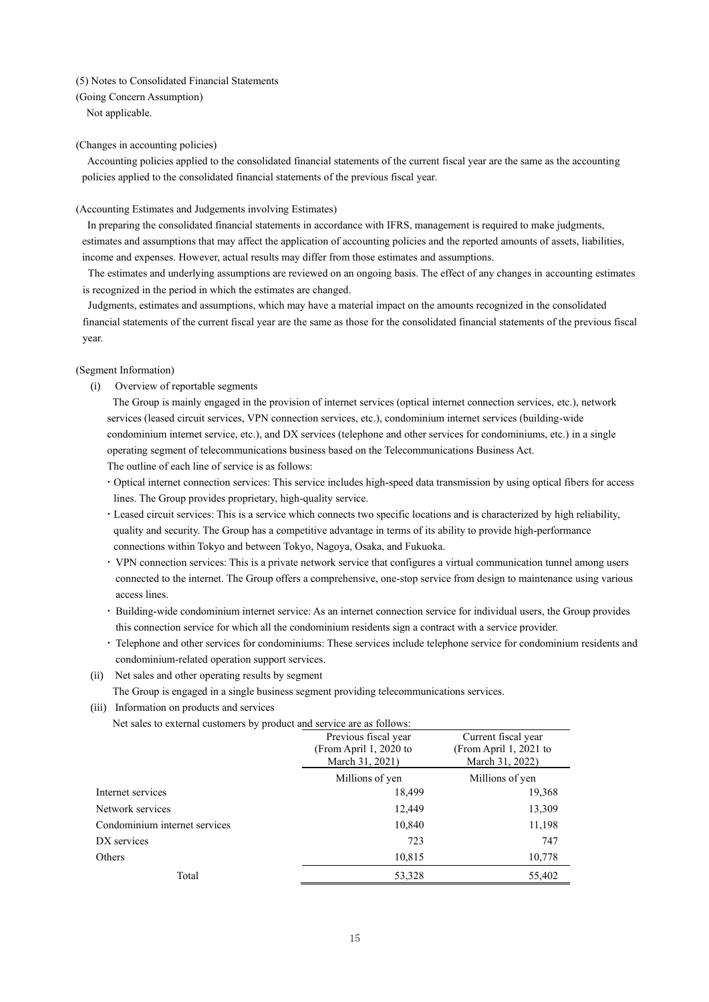#### (5) Notes to Consolidated Financial Statements

(Going Concern Assumption) Not applicable.

#### (Changes in accounting policies)

Accounting policies applied to the consolidated financial statements of the current fiscal year are the same as the accounting policies applied to the consolidated financial statements of the previous fiscal year.

#### (Accounting Estimates and Judgements involving Estimates)

In preparing the consolidated financial statements in accordance with IFRS, management is required to make judgments, estimates and assumptions that may affect the application of accounting policies and the reported amounts of assets, liabilities, income and expenses. However, actual results may differ from those estimates and assumptions.

The estimates and underlying assumptions are reviewed on an ongoing basis. The effect of any changes in accounting estimates is recognized in the period in which the estimates are changed.

Judgments, estimates and assumptions, which may have a material impact on the amounts recognized in the consolidated financial statements of the current fiscal year are the same as those for the consolidated financial statements of the previous fiscal year.

#### (Segment Information)

(i) Overview of reportable segments

The Group is mainly engaged in the provision of internet services (optical internet connection services, etc.), network services (leased circuit services, VPN connection services, etc.), condominium internet services (building-wide condominium internet service, etc.), and DX services (telephone and other services for condominiums, etc.) in a single operating segment of telecommunications business based on the Telecommunications Business Act. The outline of each line of service is as follows:

- Optical internet connection services: This service includes high-speed data transmission by using optical fibers for access lines. The Group provides proprietary, high-quality service.
- Leased circuit services: This is a service which connects two specific locations and is characterized by high reliability, quality and security. The Group has a competitive advantage in terms of its ability to provide high-performance connections within Tokyo and between Tokyo, Nagoya, Osaka, and Fukuoka.
- VPN connection services: This is a private network service that configures a virtual communication tunnel among users connected to the internet. The Group offers a comprehensive, one-stop service from design to maintenance using various access lines.
- Building-wide condominium internet service: As an internet connection service for individual users, the Group provides this connection service for which all the condominium residents sign a contract with a service provider.
- Telephone and other services for condominiums: These services include telephone service for condominium residents and condominium-related operation support services.
- (ii) Net sales and other operating results by segment

The Group is engaged in a single business segment providing telecommunications services.

(iii) Information on products and services

Net sales to external customers by product and service are as follows:

|                               | Previous fiscal year<br>(From April 1, 2020 to<br>March 31, 2021) | Current fiscal year<br>(From April 1, 2021 to<br>March 31, 2022) |  |
|-------------------------------|-------------------------------------------------------------------|------------------------------------------------------------------|--|
|                               | Millions of yen                                                   | Millions of yen                                                  |  |
| Internet services             | 18,499                                                            | 19,368                                                           |  |
| Network services              | 12,449                                                            | 13,309                                                           |  |
| Condominium internet services | 10,840                                                            | 11,198                                                           |  |
| DX services                   | 723                                                               | 747                                                              |  |
| Others                        | 10,815                                                            | 10,778                                                           |  |
| Total                         | 53,328                                                            | 55,402                                                           |  |